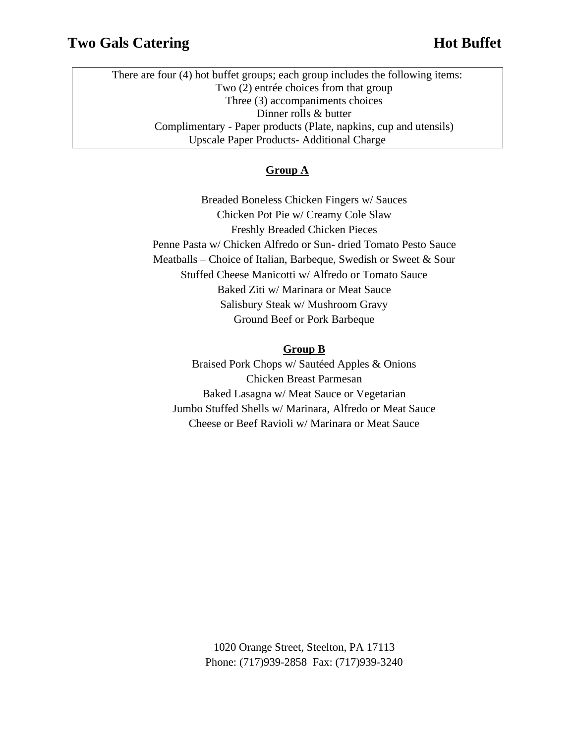There are four (4) hot buffet groups; each group includes the following items: Two (2) entrée choices from that group Three (3) accompaniments choices Dinner rolls & butter Complimentary - Paper products (Plate, napkins, cup and utensils) Upscale Paper Products- Additional Charge

#### **Group A**

Breaded Boneless Chicken Fingers w/ Sauces Chicken Pot Pie w/ Creamy Cole Slaw Freshly Breaded Chicken Pieces Penne Pasta w/ Chicken Alfredo or Sun- dried Tomato Pesto Sauce Meatballs – Choice of Italian, Barbeque, Swedish or Sweet & Sour Stuffed Cheese Manicotti w/ Alfredo or Tomato Sauce Baked Ziti w/ Marinara or Meat Sauce Salisbury Steak w/ Mushroom Gravy Ground Beef or Pork Barbeque

#### **Group B**

Braised Pork Chops w/ Sautéed Apples & Onions Chicken Breast Parmesan Baked Lasagna w/ Meat Sauce or Vegetarian Jumbo Stuffed Shells w/ Marinara, Alfredo or Meat Sauce Cheese or Beef Ravioli w/ Marinara or Meat Sauce

> 1020 Orange Street, Steelton, PA 17113 Phone: (717)939-2858 Fax: (717)939-3240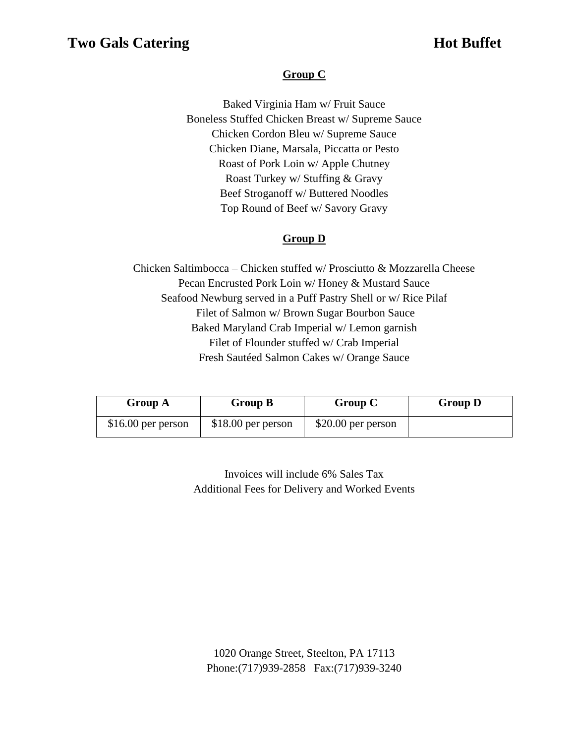## **Group C**

Baked Virginia Ham w/ Fruit Sauce Boneless Stuffed Chicken Breast w/ Supreme Sauce Chicken Cordon Bleu w/ Supreme Sauce Chicken Diane, Marsala, Piccatta or Pesto Roast of Pork Loin w/ Apple Chutney Roast Turkey w/ Stuffing & Gravy Beef Stroganoff w/ Buttered Noodles Top Round of Beef w/ Savory Gravy

## **Group D**

Chicken Saltimbocca – Chicken stuffed w/ Prosciutto & Mozzarella Cheese Pecan Encrusted Pork Loin w/ Honey & Mustard Sauce Seafood Newburg served in a Puff Pastry Shell or w/ Rice Pilaf Filet of Salmon w/ Brown Sugar Bourbon Sauce Baked Maryland Crab Imperial w/ Lemon garnish Filet of Flounder stuffed w/ Crab Imperial Fresh Sautéed Salmon Cakes w/ Orange Sauce

| Group A             | Group B             | Group C             | <b>Group D</b> |
|---------------------|---------------------|---------------------|----------------|
| $$16.00$ per person | $$18.00$ per person | $$20.00$ per person |                |

Invoices will include 6% Sales Tax Additional Fees for Delivery and Worked Events

1020 Orange Street, Steelton, PA 17113 Phone:(717)939-2858 Fax:(717)939-3240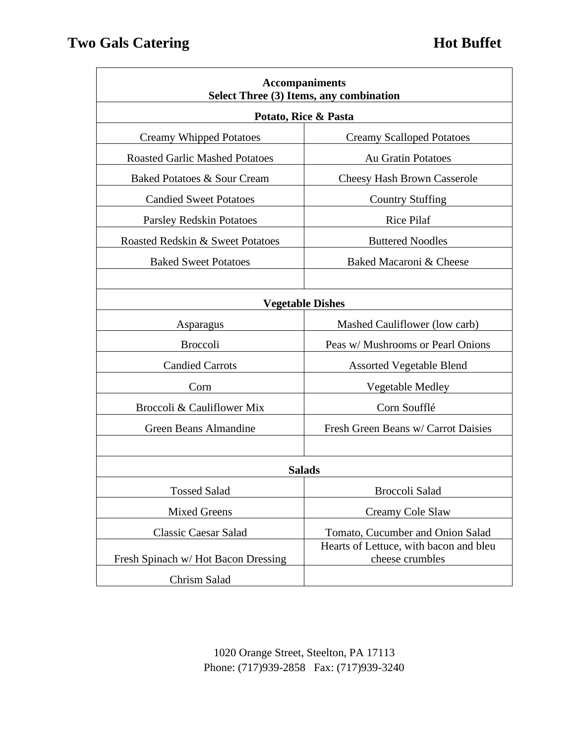| <b>Accompaniments</b><br>Select Three (3) Items, any combination |                                                           |  |  |
|------------------------------------------------------------------|-----------------------------------------------------------|--|--|
| Potato, Rice & Pasta                                             |                                                           |  |  |
| <b>Creamy Whipped Potatoes</b>                                   | <b>Creamy Scalloped Potatoes</b>                          |  |  |
| <b>Roasted Garlic Mashed Potatoes</b>                            | <b>Au Gratin Potatoes</b>                                 |  |  |
| Baked Potatoes & Sour Cream                                      | <b>Cheesy Hash Brown Casserole</b>                        |  |  |
| <b>Candied Sweet Potatoes</b>                                    | <b>Country Stuffing</b>                                   |  |  |
| <b>Parsley Redskin Potatoes</b>                                  | Rice Pilaf                                                |  |  |
| Roasted Redskin & Sweet Potatoes                                 | <b>Buttered Noodles</b>                                   |  |  |
| <b>Baked Sweet Potatoes</b>                                      | Baked Macaroni & Cheese                                   |  |  |
|                                                                  |                                                           |  |  |
| <b>Vegetable Dishes</b>                                          |                                                           |  |  |
| Asparagus                                                        | Mashed Cauliflower (low carb)                             |  |  |
| <b>Broccoli</b>                                                  | Peas w/ Mushrooms or Pearl Onions                         |  |  |
| <b>Candied Carrots</b>                                           | <b>Assorted Vegetable Blend</b>                           |  |  |
| Corn                                                             | Vegetable Medley                                          |  |  |
| Broccoli & Cauliflower Mix                                       | Corn Soufflé                                              |  |  |
| Green Beans Almandine                                            | Fresh Green Beans w/ Carrot Daisies                       |  |  |
|                                                                  |                                                           |  |  |
| <b>Salads</b>                                                    |                                                           |  |  |
| <b>Tossed Salad</b>                                              | Broccoli Salad                                            |  |  |
| <b>Mixed Greens</b>                                              | Creamy Cole Slaw                                          |  |  |
| <b>Classic Caesar Salad</b>                                      | Tomato, Cucumber and Onion Salad                          |  |  |
| Fresh Spinach w/Hot Bacon Dressing                               | Hearts of Lettuce, with bacon and bleu<br>cheese crumbles |  |  |
| Chrism Salad                                                     |                                                           |  |  |

1020 Orange Street, Steelton, PA 17113 Phone: (717)939-2858 Fax: (717)939-3240